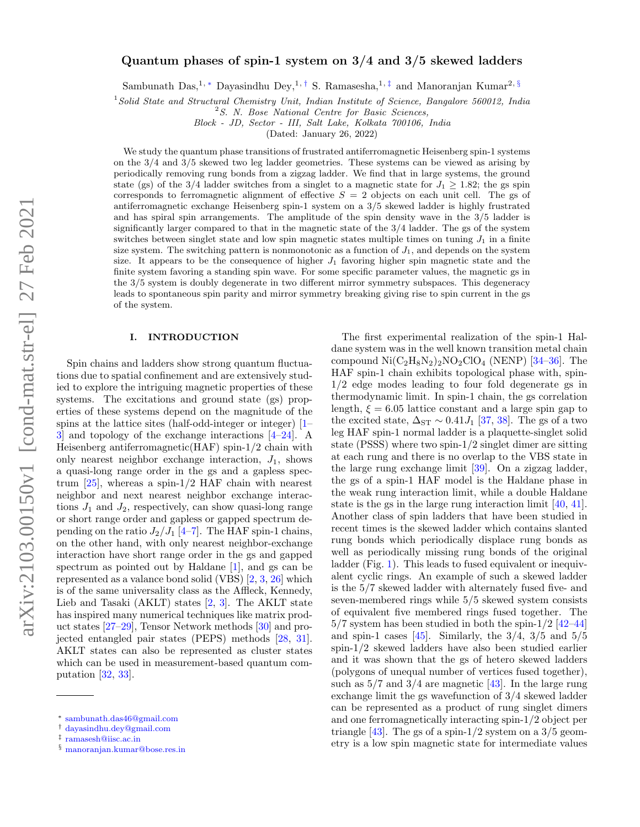# Quantum phases of spin-1 system on 3/4 and 3/5 skewed ladders

Sambunath Das,<sup>1,\*</sup> Dayasindhu Dey,<sup>1,[†](#page-0-1)</sup> S. Ramasesha,<sup>1,[‡](#page-0-2)</sup> and Manoranjan Kumar<sup>2,[§](#page-0-3)</sup>

 $1$ Solid State and Structural Chemistry Unit, Indian Institute of Science, Bangalore 560012, India

Block - JD, Sector - III, Salt Lake, Kolkata 700106, India

(Dated: January 26, 2022)

We study the quantum phase transitions of frustrated antiferromagnetic Heisenberg spin-1 systems on the 3/4 and 3/5 skewed two leg ladder geometries. These systems can be viewed as arising by periodically removing rung bonds from a zigzag ladder. We find that in large systems, the ground state (gs) of the 3/4 ladder switches from a singlet to a magnetic state for  $J_1 \geq 1.82$ ; the gs spin corresponds to ferromagnetic alignment of effective  $S = 2$  objects on each unit cell. The gs of antiferromagnetic exchange Heisenberg spin-1 system on a 3/5 skewed ladder is highly frustrated and has spiral spin arrangements. The amplitude of the spin density wave in the 3/5 ladder is significantly larger compared to that in the magnetic state of the 3/4 ladder. The gs of the system switches between singlet state and low spin magnetic states multiple times on tuning  $J_1$  in a finite size system. The switching pattern is nonmonotonic as a function of  $J_1$ , and depends on the system size. It appears to be the consequence of higher  $J_1$  favoring higher spin magnetic state and the finite system favoring a standing spin wave. For some specific parameter values, the magnetic gs in the 3/5 system is doubly degenerate in two different mirror symmetry subspaces. This degeneracy leads to spontaneous spin parity and mirror symmetry breaking giving rise to spin current in the gs of the system.

#### I. INTRODUCTION

Spin chains and ladders show strong quantum fluctuations due to spatial confinement and are extensively studied to explore the intriguing magnetic properties of these systems. The excitations and ground state (gs) properties of these systems depend on the magnitude of the spins at the lattice sites (half-odd-integer or integer) [\[1–](#page-6-0) [3\]](#page-6-1) and topology of the exchange interactions [\[4–](#page-6-2)[24\]](#page-6-3). A Heisenberg antiferromagnetic(HAF) spin-1/2 chain with only nearest neighbor exchange interaction,  $J_1$ , shows a quasi-long range order in the gs and a gapless spectrum  $[25]$ , whereas a spin-1/2 HAF chain with nearest neighbor and next nearest neighbor exchange interactions  $J_1$  and  $J_2$ , respectively, can show quasi-long range or short range order and gapless or gapped spectrum depending on the ratio  $J_2/J_1$  [\[4](#page-6-2)[–7\]](#page-6-5). The HAF spin-1 chains, on the other hand, with only nearest neighbor-exchange interaction have short range order in the gs and gapped spectrum as pointed out by Haldane [\[1\]](#page-6-0), and gs can be represented as a valance bond solid (VBS) [\[2,](#page-6-6) [3,](#page-6-1) [26\]](#page-7-0) which is of the same universality class as the Affleck, Kennedy, Lieb and Tasaki  $(AKLT)$  states  $[2, 3]$  $[2, 3]$ . The AKLT state has inspired many numerical techniques like matrix product states [\[27–](#page-7-1)[29\]](#page-7-2), Tensor Network methods [\[30\]](#page-7-3) and projected entangled pair states (PEPS) methods [\[28,](#page-7-4) [31\]](#page-7-5). AKLT states can also be represented as cluster states which can be used in measurement-based quantum computation [\[32,](#page-7-6) [33\]](#page-7-7).

The first experimental realization of the spin-1 Haldane system was in the well known transition metal chain compound  $\text{Ni}(C_2H_8N_2)_2\text{NO}_2\text{ClO}_4$  (NENP) [\[34](#page-7-8)[–36\]](#page-7-9). The HAF spin-1 chain exhibits topological phase with, spin-1/2 edge modes leading to four fold degenerate gs in thermodynamic limit. In spin-1 chain, the gs correlation length,  $\xi = 6.05$  lattice constant and a large spin gap to the excited state,  $\Delta_{ST} \sim 0.41 J_1$  [\[37,](#page-7-10) [38\]](#page-7-11). The gs of a two leg HAF spin-1 normal ladder is a plaquette-singlet solid state (PSSS) where two spin-1/2 singlet dimer are sitting at each rung and there is no overlap to the VBS state in the large rung exchange limit [\[39\]](#page-7-12). On a zigzag ladder, the gs of a spin-1 HAF model is the Haldane phase in the weak rung interaction limit, while a double Haldane state is the gs in the large rung interaction limit [\[40,](#page-7-13) [41\]](#page-7-14). Another class of spin ladders that have been studied in recent times is the skewed ladder which contains slanted rung bonds which periodically displace rung bonds as well as periodically missing rung bonds of the original ladder (Fig. [1\)](#page-1-0). This leads to fused equivalent or inequivalent cyclic rings. An example of such a skewed ladder is the 5/7 skewed ladder with alternately fused five- and seven-membered rings while 5/5 skewed system consists of equivalent five membered rings fused together. The  $5/7$  system has been studied in both the spin- $1/2$  [\[42](#page-7-15)[–44\]](#page-7-16) and spin-1 cases [\[45\]](#page-7-17). Similarly, the  $3/4$ ,  $3/5$  and  $5/5$ spin-1/2 skewed ladders have also been studied earlier and it was shown that the gs of hetero skewed ladders (polygons of unequal number of vertices fused together), such as  $5/7$  and  $3/4$  are magnetic [\[43\]](#page-7-18). In the large rung exchange limit the gs wavefunction of 3/4 skewed ladder can be represented as a product of rung singlet dimers and one ferromagnetically interacting spin-1/2 object per triangle [\[43\]](#page-7-18). The gs of a spin-1/2 system on a  $3/5$  geometry is a low spin magnetic state for intermediate values

 $2^2$ S. N. Bose National Centre for Basic Sciences,

<span id="page-0-0"></span><sup>∗</sup> [sambunath.das46@gmail.com](mailto:sambunath.das46@gmail.com)

<span id="page-0-1"></span><sup>†</sup> [dayasindhu.dey@gmail.com](mailto:dayasindhu.dey@gmail.com)

<span id="page-0-2"></span><sup>‡</sup> [ramasesh@iisc.ac.in](mailto:ramasesh@iisc.ac.in)

<span id="page-0-3"></span><sup>§</sup> [manoranjan.kumar@bose.res.in](mailto:manoranjan.kumar@bose.res.in)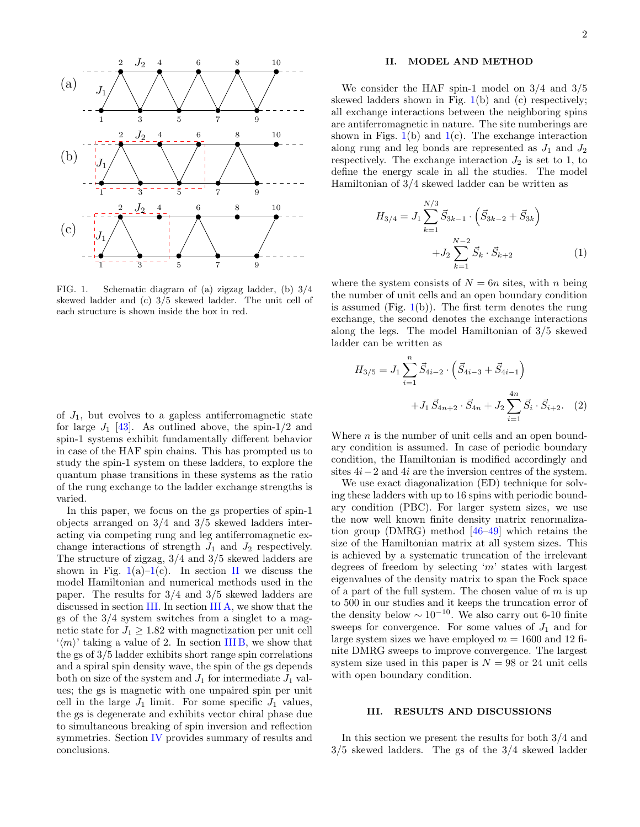

<span id="page-1-0"></span>FIG. 1. Schematic diagram of (a) zigzag ladder, (b) 3/4 skewed ladder and (c) 3/5 skewed ladder. The unit cell of each structure is shown inside the box in red.

of  $J_1$ , but evolves to a gapless antiferromagnetic state for large  $J_1$  [\[43\]](#page-7-18). As outlined above, the spin-1/2 and spin-1 systems exhibit fundamentally different behavior in case of the HAF spin chains. This has prompted us to study the spin-1 system on these ladders, to explore the quantum phase transitions in these systems as the ratio of the rung exchange to the ladder exchange strengths is varied.

In this paper, we focus on the gs properties of spin-1 objects arranged on 3/4 and 3/5 skewed ladders interacting via competing rung and leg antiferromagnetic exchange interactions of strength  $J_1$  and  $J_2$  respectively. The structure of zigzag, 3/4 and 3/5 skewed ladders are shown in Fig.  $1(a)-1(c)$  $1(a)-1(c)$ . In section [II](#page-1-1) we discuss the model Hamiltonian and numerical methods used in the paper. The results for 3/4 and 3/5 skewed ladders are discussed in section [III.](#page-1-2) In section [III A,](#page-2-0) we show that the gs of the 3/4 system switches from a singlet to a magnetic state for  $J_1 \geq 1.82$  with magnetization per unit cell  $\langle m \rangle$ ' taking a value of 2. In section [III B,](#page-4-0) we show that the gs of 3/5 ladder exhibits short range spin correlations and a spiral spin density wave, the spin of the gs depends both on size of the system and  $J_1$  for intermediate  $J_1$  values; the gs is magnetic with one unpaired spin per unit cell in the large  $J_1$  limit. For some specific  $J_1$  values, the gs is degenerate and exhibits vector chiral phase due to simultaneous breaking of spin inversion and reflection symmetries. Section [IV](#page-5-0) provides summary of results and conclusions.

## <span id="page-1-1"></span>II. MODEL AND METHOD

We consider the HAF spin-1 model on 3/4 and 3/5 skewed ladders shown in Fig.  $1(b)$  $1(b)$  and (c) respectively; all exchange interactions between the neighboring spins are antiferromagnetic in nature. The site numberings are shown in Figs.  $1(b)$  $1(b)$  and  $1(c)$ . The exchange interaction along rung and leg bonds are represented as  $J_1$  and  $J_2$ respectively. The exchange interaction  $J_2$  is set to 1, to define the energy scale in all the studies. The model Hamiltonian of 3/4 skewed ladder can be written as

$$
H_{3/4} = J_1 \sum_{k=1}^{N/3} \vec{S}_{3k-1} \cdot (\vec{S}_{3k-2} + \vec{S}_{3k}) + J_2 \sum_{k=1}^{N-2} \vec{S}_k \cdot \vec{S}_{k+2}
$$
 (1)

where the system consists of  $N = 6n$  sites, with n being the number of unit cells and an open boundary condition is assumed (Fig.  $1(b)$  $1(b)$ ). The first term denotes the rung exchange, the second denotes the exchange interactions along the legs. The model Hamiltonian of 3/5 skewed ladder can be written as

<span id="page-1-3"></span>
$$
H_{3/5} = J_1 \sum_{i=1}^{n} \vec{S}_{4i-2} \cdot (\vec{S}_{4i-3} + \vec{S}_{4i-1}) + J_1 \vec{S}_{4n+2} \cdot \vec{S}_{4n} + J_2 \sum_{i=1}^{4n} \vec{S}_i \cdot \vec{S}_{i+2}.
$$
 (2)

Where  $n$  is the number of unit cells and an open boundary condition is assumed. In case of periodic boundary condition, the Hamiltonian is modified accordingly and sites 4i−2 and 4i are the inversion centres of the system.

We use exact diagonalization (ED) technique for solving these ladders with up to 16 spins with periodic boundary condition (PBC). For larger system sizes, we use the now well known finite density matrix renormalization group (DMRG) method [\[46](#page-7-19)[–49\]](#page-7-20) which retains the size of the Hamiltonian matrix at all system sizes. This is achieved by a systematic truncation of the irrelevant degrees of freedom by selecting 'm' states with largest eigenvalues of the density matrix to span the Fock space of a part of the full system. The chosen value of  $m$  is up to 500 in our studies and it keeps the truncation error of the density below  $\sim 10^{-10}$ . We also carry out 6-10 finite sweeps for convergence. For some values of  $J_1$  and for large system sizes we have employed  $m = 1600$  and 12 finite DMRG sweeps to improve convergence. The largest system size used in this paper is  $N = 98$  or 24 unit cells with open boundary condition.

#### <span id="page-1-2"></span>III. RESULTS AND DISCUSSIONS

In this section we present the results for both 3/4 and 3/5 skewed ladders. The gs of the 3/4 skewed ladder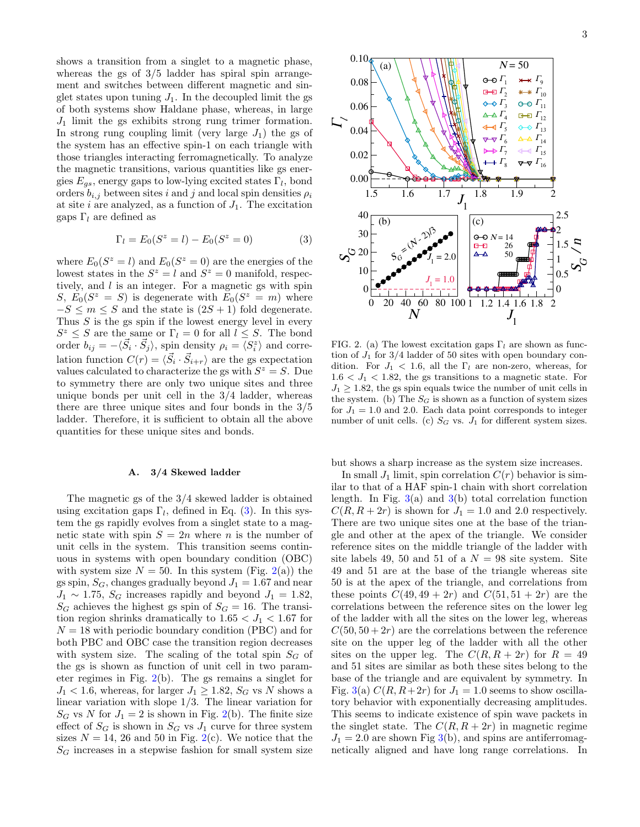shows a transition from a singlet to a magnetic phase, whereas the gs of 3/5 ladder has spiral spin arrangement and switches between different magnetic and singlet states upon tuning  $J_1$ . In the decoupled limit the gs of both systems show Haldane phase, whereas, in large  $J_1$  limit the gs exhibits strong rung trimer formation. In strong rung coupling limit (very large  $J_1$ ) the gs of the system has an effective spin-1 on each triangle with those triangles interacting ferromagnetically. To analyze the magnetic transitions, various quantities like gs energies  $E_{gs}$ , energy gaps to low-lying excited states  $\Gamma_l$ , bond orders  $b_{i,j}$  between sites i and j and local spin densities  $\rho_i$ at site i are analyzed, as a function of  $J_1$ . The excitation gaps  $\Gamma_l$  are defined as

<span id="page-2-1"></span>
$$
\Gamma_l = E_0(S^z = l) - E_0(S^z = 0)
$$
\n(3)

where  $E_0(S^z = l)$  and  $E_0(S^z = 0)$  are the energies of the lowest states in the  $S^z = l$  and  $S^z = 0$  manifold, respectively, and  $l$  is an integer. For a magnetic gs with spin S,  $E_0(S^z = S)$  is degenerate with  $E_0(S^z = m)$  where  $-S \leq m \leq S$  and the state is  $(2S + 1)$  fold degenerate. Thus  $S$  is the gs spin if the lowest energy level in every  $S^z \leq S$  are the same or  $\Gamma_l = 0$  for all  $l \leq S$ . The bond order  $b_{ij} = -\langle \vec{S}_i \cdot \vec{S}_j \rangle$ , spin density  $\rho_i = \langle S_i^z \rangle$  and correlation function  $C(r) = \langle \vec{S}_i \cdot \vec{S}_{i+r} \rangle$  are the gs expectation values calculated to characterize the gs with  $S^z = S$ . Due to symmetry there are only two unique sites and three unique bonds per unit cell in the 3/4 ladder, whereas there are three unique sites and four bonds in the 3/5 ladder. Therefore, it is sufficient to obtain all the above quantities for these unique sites and bonds.

### <span id="page-2-0"></span>A. 3/4 Skewed ladder

The magnetic gs of the 3/4 skewed ladder is obtained using excitation gaps  $\Gamma_l$ , defined in Eq. [\(3\)](#page-2-1). In this system the gs rapidly evolves from a singlet state to a magnetic state with spin  $S = 2n$  where n is the number of unit cells in the system. This transition seems continuous in systems with open boundary condition (OBC) with system size  $N = 50$ . In this system (Fig. [2\(](#page-2-2)a)) the gs spin,  $S_G$ , changes gradually beyond  $J_1 = 1.67$  and near  $J_1 \sim 1.75$ ,  $S_G$  increases rapidly and beyond  $J_1 = 1.82$ ,  $S_G$  achieves the highest gs spin of  $S_G = 16$ . The transition region shrinks dramatically to  $1.65 < J_1 < 1.67$  for  $N = 18$  with periodic boundary condition (PBC) and for both PBC and OBC case the transition region decreases with system size. The scaling of the total spin  $S_G$  of the gs is shown as function of unit cell in two parameter regimes in Fig. [2\(](#page-2-2)b). The gs remains a singlet for  $J_1$  < 1.6, whereas, for larger  $J_1 \ge 1.82$ ,  $S_G$  vs N shows a linear variation with slope 1/3. The linear variation for  $S_G$  vs N for  $J_1 = 2$  is shown in Fig. [2\(](#page-2-2)b). The finite size effect of  $S_G$  is shown in  $S_G$  vs  $J_1$  curve for three system sizes  $N = 14$ , 26 and 50 in Fig. [2\(](#page-2-2)c). We notice that the  $S_G$  increases in a stepwise fashion for small system size



<span id="page-2-2"></span>FIG. 2. (a) The lowest excitation gaps  $\Gamma_l$  are shown as function of  $J_1$  for  $3/4$  ladder of 50 sites with open boundary condition. For  $J_1$  < 1.6, all the  $\Gamma_l$  are non-zero, whereas, for  $1.6 < J_1 < 1.82$ , the gs transitions to a magnetic state. For  $J_1 \geq 1.82$ , the gs spin equals twice the number of unit cells in the system. (b) The  $S_G$  is shown as a function of system sizes for  $J_1 = 1.0$  and 2.0. Each data point corresponds to integer number of unit cells. (c)  $S_G$  vs.  $J_1$  for different system sizes.

but shows a sharp increase as the system size increases.

In small  $J_1$  limit, spin correlation  $C(r)$  behavior is similar to that of a HAF spin-1 chain with short correlation length. In Fig.  $3(a)$  $3(a)$  and  $3(b)$  total correlation function  $C(R, R + 2r)$  is shown for  $J_1 = 1.0$  and 2.0 respectively. There are two unique sites one at the base of the triangle and other at the apex of the triangle. We consider reference sites on the middle triangle of the ladder with site labels 49, 50 and 51 of a  $N = 98$  site system. Site 49 and 51 are at the base of the triangle whereas site 50 is at the apex of the triangle, and correlations from these points  $C(49, 49 + 2r)$  and  $C(51, 51 + 2r)$  are the correlations between the reference sites on the lower leg of the ladder with all the sites on the lower leg, whereas  $C(50, 50 + 2r)$  are the correlations between the reference site on the upper leg of the ladder with all the other sites on the upper leg. The  $C(R, R + 2r)$  for  $R = 49$ and 51 sites are similar as both these sites belong to the base of the triangle and are equivalent by symmetry. In Fig. [3\(](#page-3-0)a)  $C(R, R+2r)$  for  $J_1 = 1.0$  seems to show oscillatory behavior with exponentially decreasing amplitudes. This seems to indicate existence of spin wave packets in the singlet state. The  $C(R, R + 2r)$  in magnetic regime  $J_1 = 2.0$  are shown Fig  $3(b)$  $3(b)$ , and spins are antiferromagnetically aligned and have long range correlations. In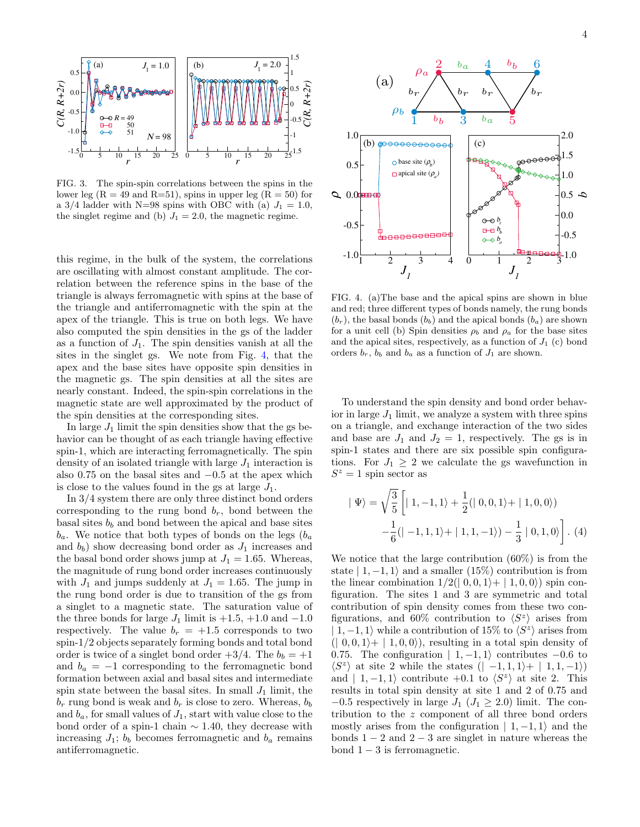

<span id="page-3-0"></span>FIG. 3. The spin-spin correlations between the spins in the lower leg ( $R = 49$  and  $R=51$ ), spins in upper leg ( $R = 50$ ) for a 3/4 ladder with N=98 spins with OBC with (a)  $J_1 = 1.0$ , the singlet regime and (b)  $J_1 = 2.0$ , the magnetic regime.

this regime, in the bulk of the system, the correlations are oscillating with almost constant amplitude. The correlation between the reference spins in the base of the triangle is always ferromagnetic with spins at the base of the triangle and antiferromagnetic with the spin at the apex of the triangle. This is true on both legs. We have also computed the spin densities in the gs of the ladder as a function of  $J_1$ . The spin densities vanish at all the sites in the singlet gs. We note from Fig. [4,](#page-3-1) that the apex and the base sites have opposite spin densities in the magnetic gs. The spin densities at all the sites are nearly constant. Indeed, the spin-spin correlations in the magnetic state are well approximated by the product of the spin densities at the corresponding sites.

In large  $J_1$  limit the spin densities show that the gs behavior can be thought of as each triangle having effective spin-1, which are interacting ferromagnetically. The spin density of an isolated triangle with large  $J_1$  interaction is also 0.75 on the basal sites and  $-0.5$  at the apex which is close to the values found in the gs at large  $J_1$ .

In 3/4 system there are only three distinct bond orders corresponding to the rung bond  $b_r$ , bond between the basal sites  $b<sub>b</sub>$  and bond between the apical and base sites  $b_a$ . We notice that both types of bonds on the legs  $(b_a)$ and  $b<sub>b</sub>$ ) show decreasing bond order as  $J<sub>1</sub>$  increases and the basal bond order shows jump at  $J_1 = 1.65$ . Whereas, the magnitude of rung bond order increases continuously with  $J_1$  and jumps suddenly at  $J_1 = 1.65$ . The jump in the rung bond order is due to transition of the gs from a singlet to a magnetic state. The saturation value of the three bonds for large  $J_1$  limit is  $+1.5, +1.0$  and  $-1.0$ respectively. The value  $b_r = +1.5$  corresponds to two spin-1/2 objects separately forming bonds and total bond order is twice of a singlet bond order  $+3/4$ . The  $b_b = +1$ and  $b_a = -1$  corresponding to the ferromagnetic bond formation between axial and basal sites and intermediate spin state between the basal sites. In small  $J_1$  limit, the  $b_r$  rung bond is weak and  $b_r$  is close to zero. Whereas,  $b_b$ and  $b_a$ , for small values of  $J_1$ , start with value close to the bond order of a spin-1 chain  $\sim$  1.40, they decrease with increasing  $J_1$ ;  $b_b$  becomes ferromagnetic and  $b_a$  remains antiferromagnetic.



<span id="page-3-1"></span>FIG. 4. (a)The base and the apical spins are shown in blue and red; three different types of bonds namely, the rung bonds  $(b_r)$ , the basal bonds  $(b_b)$  and the apical bonds  $(b_a)$  are shown for a unit cell (b) Spin densities  $\rho_b$  and  $\rho_a$  for the base sites and the apical sites, respectively, as a function of  $J_1$  (c) bond orders  $b_r$ ,  $b_b$  and  $b_a$  as a function of  $J_1$  are shown.

To understand the spin density and bond order behavior in large  $J_1$  limit, we analyze a system with three spins on a triangle, and exchange interaction of the two sides and base are  $J_1$  and  $J_2 = 1$ , respectively. The gs is in spin-1 states and there are six possible spin configurations. For  $J_1 \geq 2$  we calculate the gs wavefunction in  $S^z = 1$  spin sector as

$$
|\Psi\rangle = \sqrt{\frac{3}{5}} \left[ |1, -1, 1\rangle + \frac{1}{2} (|0, 0, 1\rangle + |1, 0, 0\rangle) - \frac{1}{6} (|-1, 1, 1\rangle + |1, 1, -1\rangle) - \frac{1}{3} |0, 1, 0\rangle \right].
$$
 (4)

We notice that the large contribution (60%) is from the state  $| 1, -1, 1 \rangle$  and a smaller (15%) contribution is from the linear combination  $1/2(|0,0,1\rangle+|1,0,0\rangle)$  spin configuration. The sites 1 and 3 are symmetric and total contribution of spin density comes from these two configurations, and 60% contribution to  $\langle S^z \rangle$  arises from  $| 1, -1, 1 \rangle$  while a contribution of 15% to  $\langle S^z \rangle$  arises from  $(0, 0, 1)$ +  $(1, 0, 0)$ , resulting in a total spin density of 0.75. The configuration  $| 1, -1, 1 \rangle$  contributes  $-0.6$  to  $\langle S^z \rangle$  at site 2 while the states  $(| -1, 1, 1 \rangle + | 1, 1, -1 \rangle)$ and  $| 1, -1, 1 \rangle$  contribute  $+0.1$  to  $\langle S^z \rangle$  at site 2. This results in total spin density at site 1 and 2 of 0.75 and  $-0.5$  respectively in large  $J_1$  ( $J_1 \geq 2.0$ ) limit. The contribution to the z component of all three bond orders mostly arises from the configuration  $| 1, -1, 1 \rangle$  and the bonds  $1 - 2$  and  $2 - 3$  are singlet in nature whereas the bond  $1 - 3$  is ferromagnetic.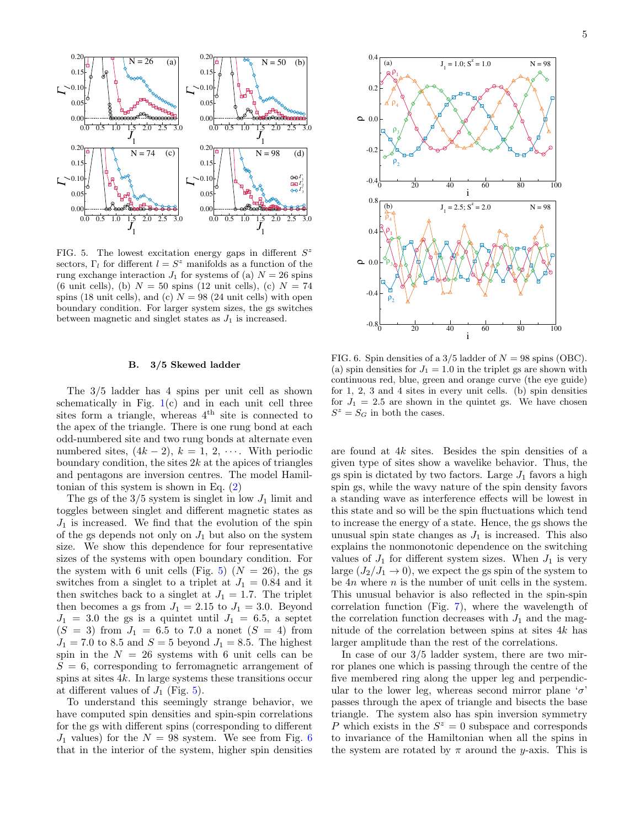

<span id="page-4-1"></span>FIG. 5. The lowest excitation energy gaps in different  $S^z$ sectors,  $\Gamma_l$  for different  $l = S^z$  manifolds as a function of the rung exchange interaction  $J_1$  for systems of (a)  $N = 26$  spins (6 unit cells), (b)  $N = 50$  spins (12 unit cells), (c)  $N = 74$ spins (18 unit cells), and (c)  $N = 98$  (24 unit cells) with open boundary condition. For larger system sizes, the gs switches between magnetic and singlet states as  $J_1$  is increased.

#### <span id="page-4-0"></span>B. 3/5 Skewed ladder

The 3/5 ladder has 4 spins per unit cell as shown schematically in Fig.  $1(c)$  $1(c)$  and in each unit cell three sites form a triangle, whereas  $4<sup>th</sup>$  site is connected to the apex of the triangle. There is one rung bond at each odd-numbered site and two rung bonds at alternate even numbered sites,  $(4k-2)$ ,  $k = 1, 2, \cdots$ . With periodic boundary condition, the sites  $2k$  at the apices of triangles and pentagons are inversion centres. The model Hamiltonian of this system is shown in Eq. [\(2\)](#page-1-3)

The gs of the  $3/5$  system is singlet in low  $J_1$  limit and toggles between singlet and different magnetic states as  $J_1$  is increased. We find that the evolution of the spin of the gs depends not only on  $J_1$  but also on the system size. We show this dependence for four representative sizes of the systems with open boundary condition. For the system with 6 unit cells (Fig. [5\)](#page-4-1)  $(N = 26)$ , the gs switches from a singlet to a triplet at  $J_1 = 0.84$  and it then switches back to a singlet at  $J_1 = 1.7$ . The triplet then becomes a gs from  $J_1 = 2.15$  to  $J_1 = 3.0$ . Beyond  $J_1 = 3.0$  the gs is a quintet until  $J_1 = 6.5$ , a septet  $(S = 3)$  from  $J_1 = 6.5$  to 7.0 a nonet  $(S = 4)$  from  $J_1 = 7.0$  to 8.5 and  $S = 5$  beyond  $J_1 = 8.5$ . The highest spin in the  $N = 26$  systems with 6 unit cells can be  $S = 6$ , corresponding to ferromagnetic arrangement of spins at sites  $4k$ . In large systems these transitions occur at different values of  $J_1$  (Fig. [5\)](#page-4-1).

To understand this seemingly strange behavior, we have computed spin densities and spin-spin correlations for the gs with different spins (corresponding to different  $J_1$  values) for the  $N = 98$  system. We see from Fig. [6](#page-4-2) that in the interior of the system, higher spin densities



<span id="page-4-2"></span>FIG. 6. Spin densities of a  $3/5$  ladder of  $N = 98$  spins (OBC). (a) spin densities for  $J_1 = 1.0$  in the triplet gs are shown with continuous red, blue, green and orange curve (the eye guide) for 1, 2, 3 and 4 sites in every unit cells. (b) spin densities for  $J_1 = 2.5$  are shown in the quintet gs. We have chosen  $S^z = S_G$  in both the cases.

are found at 4k sites. Besides the spin densities of a given type of sites show a wavelike behavior. Thus, the gs spin is dictated by two factors. Large  $J_1$  favors a high spin gs, while the wavy nature of the spin density favors a standing wave as interference effects will be lowest in this state and so will be the spin fluctuations which tend to increase the energy of a state. Hence, the gs shows the unusual spin state changes as  $J_1$  is increased. This also explains the nonmonotonic dependence on the switching values of  $J_1$  for different system sizes. When  $J_1$  is very large  $(J_2/J_1 \rightarrow 0)$ , we expect the gs spin of the system to be  $4n$  where  $n$  is the number of unit cells in the system. This unusual behavior is also reflected in the spin-spin correlation function (Fig. [7\)](#page-5-1), where the wavelength of the correlation function decreases with  $J_1$  and the magnitude of the correlation between spins at sites 4k has larger amplitude than the rest of the correlations.

In case of our 3/5 ladder system, there are two mirror planes one which is passing through the centre of the five membered ring along the upper leg and perpendicular to the lower leg, whereas second mirror plane ' $\sigma$ ' passes through the apex of triangle and bisects the base triangle. The system also has spin inversion symmetry P which exists in the  $S^z = 0$  subspace and corresponds to invariance of the Hamiltonian when all the spins in the system are rotated by  $\pi$  around the *y*-axis. This is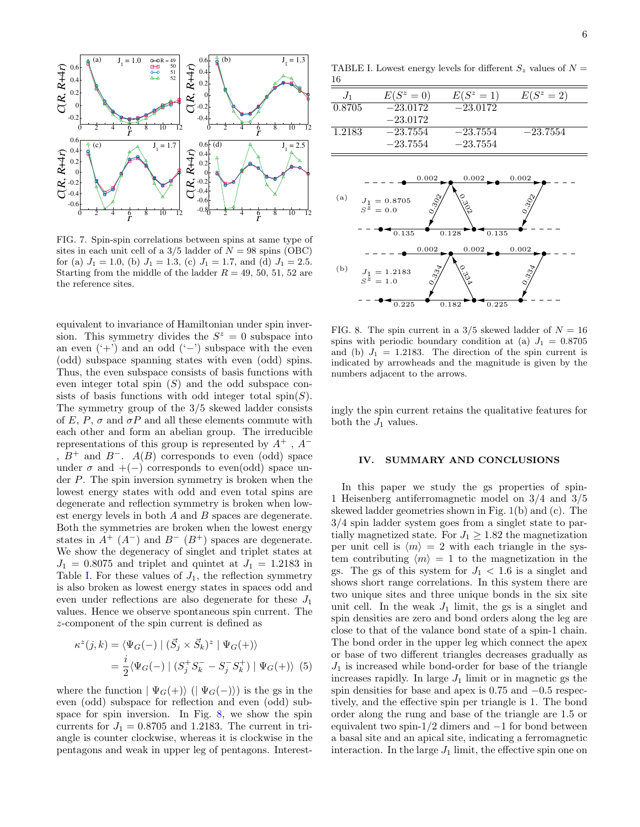

<span id="page-5-1"></span>FIG. 7. Spin-spin correlations between spins at same type of sites in each unit cell of a  $3/5$  ladder of  $N = 98$  spins (OBC) for (a)  $J_1 = 1.0$ , (b)  $J_1 = 1.3$ , (c)  $J_1 = 1.7$ , and (d)  $J_1 = 2.5$ . Starting from the middle of the ladder  $R = 49, 50, 51, 52$  are the reference sites.

equivalent to invariance of Hamiltonian under spin inversion. This symmetry divides the  $S^z = 0$  subspace into an even  $(·+)$  and an odd  $(·-)$  subspace with the even (odd) subspace spanning states with even (odd) spins. Thus, the even subspace consists of basis functions with even integer total spin  $(S)$  and the odd subspace consists of basis functions with odd integer total spin( $S$ ). The symmetry group of the 3/5 skewed ladder consists of E, P,  $\sigma$  and  $\sigma P$  and all these elements commute with each other and form an abelian group. The irreducible representations of this group is represented by  $A^+$ ,  $A^-$ ,  $B^+$  and  $B^-$ .  $A(B)$  corresponds to even (odd) space under  $\sigma$  and  $+(-)$  corresponds to even(odd) space under P. The spin inversion symmetry is broken when the lowest energy states with odd and even total spins are degenerate and reflection symmetry is broken when lowest energy levels in both A and B spaces are degenerate. Both the symmetries are broken when the lowest energy states in  $A^+$  ( $A^-$ ) and  $B^-$  ( $B^+$ ) spaces are degenerate. We show the degeneracy of singlet and triplet states at  $J_1 = 0.8075$  and triplet and quintet at  $J_1 = 1.2183$  in Table [I.](#page-5-2) For these values of  $J_1$ , the reflection symmetry is also broken as lowest energy states in spaces odd and even under reflections are also degenerate for these  $J_1$ values. Hence we observe spontaneous spin current. The z-component of the spin current is defined as

$$
\kappa^{z}(j,k) = \langle \Psi_G(-) \mid (\vec{S}_j \times \vec{S}_k)^{z} \mid \Psi_G(+) \rangle
$$
  
= 
$$
\frac{i}{2} \langle \Psi_G(-) \mid (S_j^+ S_k^- - S_j^- S_k^+) \mid \Psi_G(+) \rangle
$$
 (5)

where the function  $|\Psi_G(+)\rangle$  ( $|\Psi_G(-)\rangle$ ) is the gs in the even (odd) subspace for reflection and even (odd) subspace for spin inversion. In Fig. [8,](#page-5-3) we show the spin currents for  $J_1 = 0.8705$  and 1.2183. The current in triangle is counter clockwise, whereas it is clockwise in the pentagons and weak in upper leg of pentagons. Interest-

<span id="page-5-2"></span>TABLE I. Lowest energy levels for different  $S_z$  values of  $N =$ 16

| $J_1$  | $E(S^z=0)$               | $E(S^z=1)$               | $E(S^z=2)$ |
|--------|--------------------------|--------------------------|------------|
| 0.8705 | $-23.0172$<br>$-23.0172$ | $-23.0172$               |            |
| 1.2183 | $-23.7554$<br>$-23.7554$ | $-23.7554$<br>$-23.7554$ | $-23.7554$ |
|        |                          |                          |            |



<span id="page-5-3"></span>FIG. 8. The spin current in a  $3/5$  skewed ladder of  $N = 16$ spins with periodic boundary condition at (a)  $J_1 = 0.8705$ and (b)  $J_1 = 1.2183$ . The direction of the spin current is indicated by arrowheads and the magnitude is given by the numbers adjacent to the arrows.

ingly the spin current retains the qualitative features for both the  $J_1$  values.

### <span id="page-5-0"></span>IV. SUMMARY AND CONCLUSIONS

In this paper we study the gs properties of spin-1 Heisenberg antiferromagnetic model on 3/4 and 3/5 skewed ladder geometries shown in Fig. [1\(](#page-1-0)b) and (c). The 3/4 spin ladder system goes from a singlet state to partially magnetized state. For  $J_1 \geq 1.82$  the magnetization per unit cell is  $\langle m \rangle = 2$  with each triangle in the system contributing  $\langle m \rangle = 1$  to the magnetization in the gs. The gs of this system for  $J_1 < 1.6$  is a singlet and shows short range correlations. In this system there are two unique sites and three unique bonds in the six site unit cell. In the weak  $J_1$  limit, the gs is a singlet and spin densities are zero and bond orders along the leg are close to that of the valance bond state of a spin-1 chain. The bond order in the upper leg which connect the apex or base of two different triangles decreases gradually as  $J_1$  is increased while bond-order for base of the triangle increases rapidly. In large  $J_1$  limit or in magnetic gs the spin densities for base and apex is 0.75 and  $-0.5$  respectively, and the effective spin per triangle is 1. The bond order along the rung and base of the triangle are 1.5 or equivalent two spin- $1/2$  dimers and  $-1$  for bond between a basal site and an apical site, indicating a ferromagnetic interaction. In the large  $J_1$  limit, the effective spin one on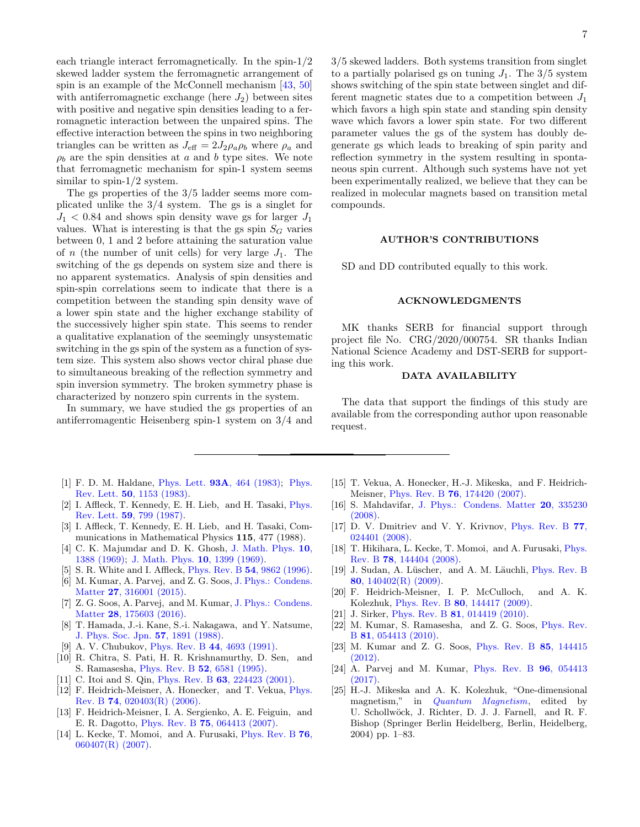each triangle interact ferromagnetically. In the spin-1/2 skewed ladder system the ferromagnetic arrangement of spin is an example of the McConnell mechanism [\[43,](#page-7-18) [50\]](#page-7-21) with antiferromagnetic exchange (here  $J_2$ ) between sites with positive and negative spin densities leading to a ferromagnetic interaction between the unpaired spins. The effective interaction between the spins in two neighboring triangles can be written as  $J_{\text{eff}} = 2J_2 \rho_a \rho_b$  where  $\rho_a$  and  $\rho_b$  are the spin densities at a and b type sites. We note that ferromagnetic mechanism for spin-1 system seems similar to spin- $1/2$  system.

The gs properties of the 3/5 ladder seems more complicated unlike the 3/4 system. The gs is a singlet for  $J_1$  < 0.84 and shows spin density wave gs for larger  $J_1$ values. What is interesting is that the gs spin  $S_G$  varies between 0, 1 and 2 before attaining the saturation value of n (the number of unit cells) for very large  $J_1$ . The switching of the gs depends on system size and there is no apparent systematics. Analysis of spin densities and spin-spin correlations seem to indicate that there is a competition between the standing spin density wave of a lower spin state and the higher exchange stability of the successively higher spin state. This seems to render a qualitative explanation of the seemingly unsystematic switching in the gs spin of the system as a function of system size. This system also shows vector chiral phase due to simultaneous breaking of the reflection symmetry and spin inversion symmetry. The broken symmetry phase is characterized by nonzero spin currents in the system.

In summary, we have studied the gs properties of an antiferromagentic Heisenberg spin-1 system on 3/4 and

- <span id="page-6-0"></span>[1] F. D. M. Haldane, Phys. Lett. 93A[, 464 \(1983\);](http://dx.doi.org/10.1016/0375-9601(83)90631-X) [Phys.](http://dx.doi.org/10.1103/PhysRevLett.50.1153) Rev. Lett. 50[, 1153 \(1983\).](http://dx.doi.org/10.1103/PhysRevLett.50.1153)
- <span id="page-6-6"></span>[2] I. Affleck, T. Kennedy, E. H. Lieb, and H. Tasaki, [Phys.](http://dx.doi.org/10.1103/PhysRevLett.59.799) Rev. Lett. 59[, 799 \(1987\).](http://dx.doi.org/10.1103/PhysRevLett.59.799)
- <span id="page-6-1"></span>[3] I. Affleck, T. Kennedy, E. H. Lieb, and H. Tasaki, Communications in Mathematical Physics 115, 477 (1988).
- <span id="page-6-2"></span>[4] C. K. Majumdar and D. K. Ghosh, [J. Math. Phys.](http://dx.doi.org/10.1063/1.1664978) 10, [1388 \(1969\);](http://dx.doi.org/10.1063/1.1664978) [J. Math. Phys.](http://dx.doi.org/10.1063/1.1664979) 10, 1399 (1969).
- [5] S. R. White and I. Affleck, Phys. Rev. B 54[, 9862 \(1996\).](http://dx.doi.org/10.1103/PhysRevB.54.9862)
- [6] M. Kumar, A. Parvej, and Z. G. Soos, [J. Phys.: Condens.](http://dx.doi.org/10.1088/0953-8984/27/31/316001) Matter 27[, 316001 \(2015\).](http://dx.doi.org/10.1088/0953-8984/27/31/316001)
- <span id="page-6-5"></span>[7] Z. G. Soos, A. Parvej, and M. Kumar, [J. Phys.: Condens.](http://dx.doi.org/10.1088/0953-8984/28/17/175603) Matter 28[, 175603 \(2016\).](http://dx.doi.org/10.1088/0953-8984/28/17/175603)
- [8] T. Hamada, J.-i. Kane, S.-i. Nakagawa, and Y. Natsume, [J. Phys. Soc. Jpn.](http://dx.doi.org/10.1143/JPSJ.57.1891) 57, 1891 (1988).
- [9] A. V. Chubukov, Phys. Rev. B 44[, 4693 \(1991\).](http://dx.doi.org/10.1103/PhysRevB.44.4693)
- [10] R. Chitra, S. Pati, H. R. Krishnamurthy, D. Sen, and S. Ramasesha, Phys. Rev. B 52[, 6581 \(1995\).](http://dx.doi.org/ 10.1103/PhysRevB.52.6581)
- [11] C. Itoi and S. Qin, Phys. Rev. B **63**[, 224423 \(2001\).](http://dx.doi.org/10.1103/PhysRevB.63.224423)
- [12] F. Heidrich-Meisner, A. Honecker, and T. Vekua, [Phys.](http://dx.doi.org/10.1103/PhysRevB.74.020403) Rev. B 74[, 020403\(R\) \(2006\).](http://dx.doi.org/10.1103/PhysRevB.74.020403)
- [13] F. Heidrich-Meisner, I. A. Sergienko, A. E. Feiguin, and E. R. Dagotto, Phys. Rev. B 75[, 064413 \(2007\).](http://dx.doi.org/10.1103/PhysRevB.75.064413)
- [14] L. Kecke, T. Momoi, and A. Furusaki, [Phys. Rev. B](http://dx.doi.org/10.1103/PhysRevB.76.060407) 76, [060407\(R\) \(2007\).](http://dx.doi.org/10.1103/PhysRevB.76.060407)

[15] T. Vekua, A. Honecker, H.-J. Mikeska, and F. Heidrich-Meisner, Phys. Rev. B 76[, 174420 \(2007\).](http://dx.doi.org/10.1103/PhysRevB.76.174420)

- [16] S. Mahdavifar, [J. Phys.: Condens. Matter](http://dx.doi.org/10.1088/0953-8984/20/33/335230) 20, 335230 [\(2008\).](http://dx.doi.org/10.1088/0953-8984/20/33/335230)
- [17] D. V. Dmitriev and V. Y. Krivnov, [Phys. Rev. B](http://dx.doi.org/10.1103/PhysRevB.77.024401) 77, [024401 \(2008\).](http://dx.doi.org/10.1103/PhysRevB.77.024401)
- [18] T. Hikihara, L. Kecke, T. Momoi, and A. Furusaki, *[Phys.](http://dx.doi.org/ 10.1103/PhysRevB.78.144404)* Rev. B 78[, 144404 \(2008\).](http://dx.doi.org/ 10.1103/PhysRevB.78.144404)
- [19] J. Sudan, A. Lüscher, and A. M. Läuchli, [Phys. Rev. B](http://dx.doi.org/10.1103/PhysRevB.80.140402) 80[, 140402\(R\) \(2009\).](http://dx.doi.org/10.1103/PhysRevB.80.140402)
- [20] F. Heidrich-Meisner, I. P. McCulloch, and A. K. Kolezhuk, Phys. Rev. B 80[, 144417 \(2009\).](http://dx.doi.org/10.1103/PhysRevB.80.144417)
- [21] J. Sirker, Phys. Rev. B **81**[, 014419 \(2010\).](http://dx.doi.org/10.1103/PhysRevB.81.014419)
- [22] M. Kumar, S. Ramasesha, and Z. G. Soos, [Phys. Rev.](http://dx.doi.org/10.1103/PhysRevB.81.054413) B 81[, 054413 \(2010\).](http://dx.doi.org/10.1103/PhysRevB.81.054413)
- [23] M. Kumar and Z. G. Soos, [Phys. Rev. B](http://dx.doi.org/10.1103/PhysRevB.85.144415) 85, 144415 [\(2012\).](http://dx.doi.org/10.1103/PhysRevB.85.144415)
- <span id="page-6-3"></span>[24] A. Parvej and M. Kumar, [Phys. Rev. B](http://dx.doi.org/10.1103/PhysRevB.96.054413) 96, 054413 [\(2017\).](http://dx.doi.org/10.1103/PhysRevB.96.054413)
- <span id="page-6-4"></span>[25] H.-J. Mikeska and A. K. Kolezhuk, "One-dimensional magnetism," in [Quantum Magnetism](http://dx.doi.org/10.1007/BFb0119591), edited by U. Schollwöck, J. Richter, D. J. J. Farnell, and R. F. Bishop (Springer Berlin Heidelberg, Berlin, Heidelberg, 2004) pp. 1–83.

3/5 skewed ladders. Both systems transition from singlet to a partially polarised gs on tuning  $J_1$ . The  $3/5$  system shows switching of the spin state between singlet and different magnetic states due to a competition between  $J_1$ which favors a high spin state and standing spin density wave which favors a lower spin state. For two different parameter values the gs of the system has doubly degenerate gs which leads to breaking of spin parity and reflection symmetry in the system resulting in spontaneous spin current. Although such systems have not yet been experimentally realized, we believe that they can be realized in molecular magnets based on transition metal compounds.

### AUTHOR'S CONTRIBUTIONS

SD and DD contributed equally to this work.

## ACKNOWLEDGMENTS

MK thanks SERB for financial support through project file No. CRG/2020/000754. SR thanks Indian National Science Academy and DST-SERB for supporting this work.

## DATA AVAILABILITY

The data that support the findings of this study are available from the corresponding author upon reasonable request.